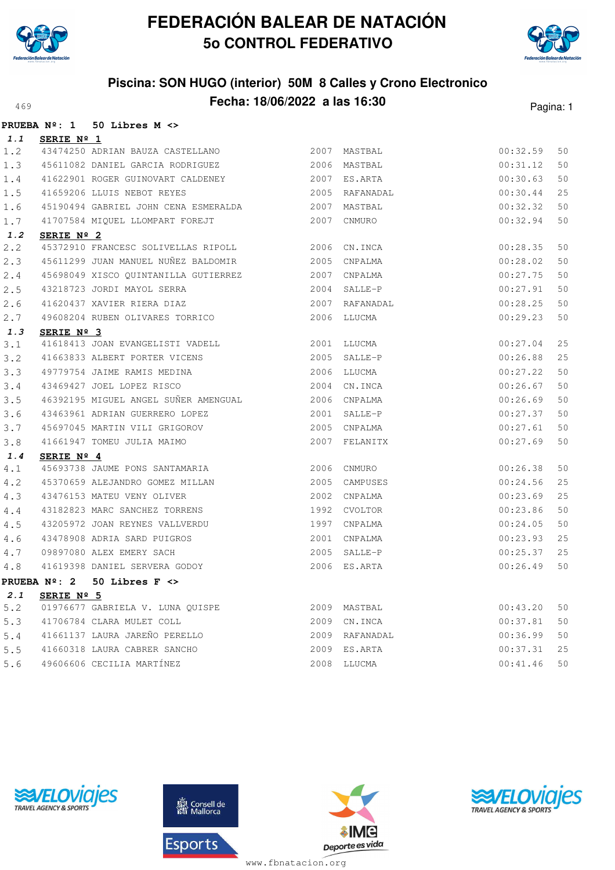



### **Piscina: SON HUGO (interior) 50M 8 Calles y Crono Electronico Fecha: 18/06/2022 a las 16:30**<sup>469</sup> Pagina: 1

|     |                     | PRUEBA Nº: 1 50 Libres M <>                                 |      |                |          |    |
|-----|---------------------|-------------------------------------------------------------|------|----------------|----------|----|
| 1.1 | SERIE Nº 1          |                                                             |      |                |          |    |
| 1.2 |                     | 43474250 ADRIAN BAUZA CASTELLANO                            |      | 2007 MASTBAL   | 00:32.59 | 50 |
| 1.3 |                     | 45611082 DANIEL GARCIA RODRIGUEZ 62006 MASTBAL              |      |                | 00:31.12 | 50 |
| 1.4 |                     | 41622901 ROGER GUINOVART CALDENEY 2007 ES.ARTA              |      |                | 00:30.63 | 50 |
| 1.5 |                     | 41659206 LLUIS NEBOT REYES                                  |      | 2005 RAFANADAL | 00:30.44 | 25 |
| 1.6 |                     | 45190494 GABRIEL JOHN CENA ESMERALDA 2007                   |      | MASTBAL        | 00:32.32 | 50 |
| 1.7 |                     | 41707584 MIQUEL LLOMPART FOREJT                             | 2007 | CNMURO         | 00:32.94 | 50 |
| 1.2 | SERIE Nº 2          |                                                             |      |                |          |    |
| 2.2 |                     | 45372910 FRANCESC SOLIVELLAS RIPOLL 2006                    |      | CN.INCA        | 00:28.35 | 50 |
| 2.3 |                     | 45611299 JUAN MANUEL NUÑEZ BALDOMIR                         |      | 2005 CNPALMA   | 00:28.02 | 50 |
| 2.4 |                     | 45698049 XISCO QUINTANILLA GUTIERREZ                        |      | 2007 CNPALMA   | 00:27.75 | 50 |
| 2.5 |                     | 43218723 JORDI MAYOL SERRA                                  |      | 2004 SALLE-P   | 00:27.91 | 50 |
| 2.6 |                     | 41620437 XAVIER RIERA DIAZ                                  |      | 2007 RAFANADAL | 00:28.25 | 50 |
| 2.7 |                     | 49608204 RUBEN OLIVARES TORRICO                             |      | 2006 LLUCMA    | 00:29.23 | 50 |
| 1.3 | SERIE Nº 3          |                                                             |      |                |          |    |
| 3.1 |                     | 41618413 JOAN EVANGELISTI VADELL                            |      | 2001 LLUCMA    | 00:27.04 | 25 |
| 3.2 |                     | 41663833 ALBERT PORTER VICENS 2005 SALLE-P                  |      |                | 00:26.88 | 25 |
| 3.3 |                     | 49779754 JAIME RAMIS MEDINA                                 |      | 2006 LLUCMA    | 00:27.22 | 50 |
| 3.4 |                     | 43469427 JOEL LOPEZ RISCO                                   |      | 2004 CN.INCA   | 00:26.67 | 50 |
| 3.5 |                     | 46392195 MIGUEL ANGEL SUÑER AMENGUAL 2006 CNPALMA           |      |                | 00:26.69 | 50 |
| 3.6 |                     | 43463961 ADRIAN GUERRERO LOPEZ                              |      | 2001 SALLE-P   | 00:27.37 | 50 |
| 3.7 |                     | 45697045 MARTIN VILI GRIGOROV<br>41661947 TOMEU JULIA MAIMO |      | 2005 CNPALMA   | 00:27.61 | 50 |
| 3.8 |                     |                                                             |      | 2007 FELANITX  | 00:27.69 | 50 |
| 1.4 | SERIE $N^{\circ}$ 4 |                                                             |      |                |          |    |
| 4.1 |                     | 45693738 JAUME PONS SANTAMARIA                              |      | 2006 CNMURO    | 00:26.38 | 50 |
| 4.2 |                     | 45370659 ALEJANDRO GOMEZ MILLAN                             | 2005 | CAMPUSES       | 00:24.56 | 25 |
| 4.3 |                     | 43476153 MATEU VENY OLIVER<br>43182823 MARC SANCHEZ TORRENS | 2002 | CNPALMA        | 00:23.69 | 25 |
| 4.4 |                     |                                                             |      | 1992 CVOLTOR   | 00:23.86 | 50 |
| 4.5 |                     | 43205972 JOAN REYNES VALLVERDU                              | 1997 | CNPALMA        | 00:24.05 | 50 |
| 4.6 |                     | 43478908 ADRIA SARD PUIGROS                                 |      | 2001 CNPALMA   | 00:23.93 | 25 |
| 4.7 |                     | 09897080 ALEX EMERY SACH                                    |      | 2005 SALLE-P   | 00:25.37 | 25 |
| 4.8 |                     | 41619398 DANIEL SERVERA GODOY                               |      | 2006 ES.ARTA   | 00:26.49 | 50 |
|     |                     | PRUEBA $N^2$ : 2 50 Libres F $\lt$ >                        |      |                |          |    |
| 2.1 | SERIE Nº 5          |                                                             |      |                |          |    |
| 5.2 |                     | 01976677 GABRIELA V. LUNA OUISPE                            |      | 2009 MASTBAL   | 00:43.20 | 50 |
| 5.3 |                     | 41706784 CLARA MULET COLL                                   |      | 2009 CN. INCA  | 00:37.81 | 50 |
| 5.4 |                     | 41661137 LAURA JAREÑO PERELLO                               |      | 2009 RAFANADAL | 00:36.99 | 50 |
| 5.5 |                     | 41660318 LAURA CABRER SANCHO                                | 2009 | ES.ARTA        | 00:37.31 | 25 |
| 5.6 |                     | 49606606 CECILIA MARTÍNEZ                                   |      | 2008 LLUCMA    | 00:41.46 | 50 |







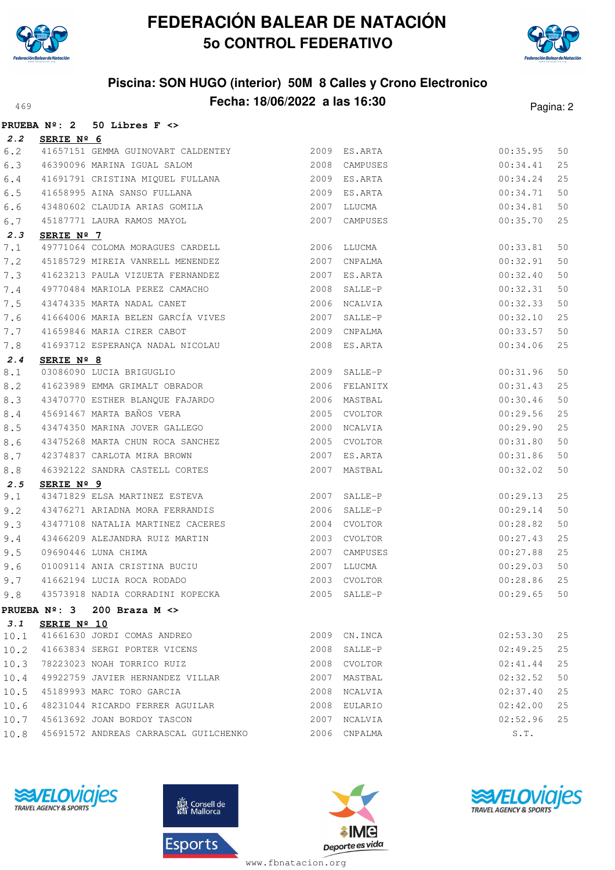



## **Piscina: SON HUGO (interior) 50M 8 Calles y Crono Electronico Fecha: 18/06/2022 a las 16:30**<sup>469</sup> Pagina: 2

|         | <b>PRUEBA Nº: 2</b> | 50 Libres $F \leq$                                           |              |               |          |    |
|---------|---------------------|--------------------------------------------------------------|--------------|---------------|----------|----|
| 2.2     | SERIE Nº 6          |                                                              |              |               |          |    |
| 6.2     |                     | 41657151 GEMMA GUINOVART CALDENTEY                           |              | 2009 ES.ARTA  | 00:35.95 | 50 |
| 6.3     |                     | 46390096 MARINA IGUAL SALOM                                  |              | 2008 CAMPUSES | 00:34.41 | 25 |
| $6.4$   |                     | 41691791 CRISTINA MIQUEL FULLANA 2009 ES.ARTA                |              |               | 00:34.24 | 25 |
| 6.5     |                     | 41658995 AINA SANSO FULLANA                                  |              | 2009 ES.ARTA  | 00:34.71 | 50 |
| 6.6     |                     | 43480602 CLAUDIA ARIAS GOMILA                                |              | 2007 LLUCMA   | 00:34.81 | 50 |
| 6.7     |                     | 45187771 LAURA RAMOS MAYOL                                   |              | 2007 CAMPUSES | 00:35.70 | 25 |
| 2.3     | SERIE $N^{\circ}$ 7 |                                                              |              |               |          |    |
| 7.1     |                     | 49771064 COLOMA MORAGUES CARDELL 2006 LLUCMA                 |              |               | 00:33.81 | 50 |
| 7.2     |                     | 45185729 MIREIA VANRELL MENENDEZ                             | 2007 CNPALMA |               | 00:32.91 | 50 |
| 7.3     |                     | 41623213 PAULA VIZUETA FERNANDEZ                             |              | 2007 ES.ARTA  | 00:32.40 | 50 |
| 7.4     |                     | 49770484 MARIOLA PEREZ CAMACHO                               |              | 2008 SALLE-P  | 00:32.31 | 50 |
| 7.5     |                     | 43474335 MARTA NADAL CANET                                   |              | 2006 NCALVIA  | 00:32.33 | 50 |
| 7.6     |                     | 41664006 MARIA BELEN GARCÍA VIVES                            |              | 2007 SALLE-P  | 00:32.10 | 25 |
| 7.7     |                     | 41659846 MARIA CIRER CABOT                                   |              | 2009 CNPALMA  | 00:33.57 | 50 |
| 7.8     |                     | 41693712 ESPERANÇA NADAL NICOLAU                             |              | 2008 ES.ARTA  | 00:34.06 | 25 |
| 2.4     | SERIE Nº 8          |                                                              |              |               |          |    |
| 8.1     |                     | 03086090 LUCIA BRIGUGLIO                                     |              | 2009 SALLE-P  | 00:31.96 | 50 |
| 8.2     |                     | 41623989 EMMA GRIMALT OBRADOR                                |              | 2006 FELANITX | 00:31.43 | 25 |
| 8.3     |                     | 43470770 ESTHER BLANQUE FAJARDO<br>45691467 MARTA BAÑOS VERA |              | 2006 MASTBAL  | 00:30.46 | 50 |
| $8.4\,$ |                     |                                                              |              | 2005 CVOLTOR  | 00:29.56 | 25 |
| 8.5     |                     | 43474350 MARINA JOVER GALLEGO                                |              | 2000 NCALVIA  | 00:29.90 | 25 |
| 8.6     |                     | 43475268 MARTA CHUN ROCA SANCHEZ                             |              | 2005 CVOLTOR  | 00:31.80 | 50 |
| 8.7     |                     | 42374837 CARLOTA MIRA BROWN                                  |              | 2007 ES.ARTA  | 00:31.86 | 50 |
| 8.8     |                     | 46392122 SANDRA CASTELL CORTES                               |              | 2007 MASTBAL  | 00:32.02 | 50 |
| 2.5     | SERIE Nº 9          |                                                              |              |               |          |    |
| 9.1     |                     | 43471829 ELSA MARTINEZ ESTEVA                                |              | 2007 SALLE-P  | 00:29.13 | 25 |
| 9.2     |                     | 43476271 ARIADNA MORA FERRANDIS                              |              | 2006 SALLE-P  | 00:29.14 | 50 |
| 9.3     |                     | 43477108 NATALIA MARTINEZ CACERES                            |              | 2004 CVOLTOR  | 00:28.82 | 50 |
| 9.4     |                     | 43466209 ALEJANDRA RUIZ MARTIN                               |              | 2003 CVOLTOR  | 00:27.43 | 25 |
| 9.5     |                     | 09690446 LUNA CHIMA                                          |              | 2007 CAMPUSES | 00:27.88 | 25 |
| 9.6     |                     | 01009114 ANIA CRISTINA BUCIU                                 |              | 2007 LLUCMA   | 00:29.03 | 50 |
| 9.7     |                     | 41662194 LUCIA ROCA RODADO                                   |              | 2003 CVOLTOR  | 00:28.86 | 25 |
| 9.8     |                     | 43573918 NADIA CORRADINI KOPECKA                             |              | 2005 SALLE-P  | 00:29.65 | 50 |
|         |                     | PRUEBA $N^{\circ}$ : 3 200 Braza M <>                        |              |               |          |    |
| 3.1     | SERIE Nº 10         |                                                              |              |               |          |    |
| 10.1    |                     | 41661630 JORDI COMAS ANDREO                                  |              | 2009 CN. INCA | 02:53.30 | 25 |
| 10.2    |                     | 41663834 SERGI PORTER VICENS                                 |              | 2008 SALLE-P  | 02:49.25 | 25 |
| 10.3    |                     | 78223023 NOAH TORRICO RUIZ                                   | 2008         | CVOLTOR       | 02:41.44 | 25 |
| 10.4    |                     | 49922759 JAVIER HERNANDEZ VILLAR                             | 2007         | MASTBAL       | 02:32.52 | 50 |
| 10.5    |                     | 45189993 MARC TORO GARCIA                                    | 2008         | NCALVIA       | 02:37.40 | 25 |
| 10.6    |                     | 48231044 RICARDO FERRER AGUILAR                              | 2008         | EULARIO       | 02:42.00 | 25 |
| 10.7    |                     | 45613692 JOAN BORDOY TASCON                                  | 2007         | NCALVIA       | 02:52.96 | 25 |
| 10.8    |                     | 45691572 ANDREAS CARRASCAL GUILCHENKO                        |              | 2006 CNPALMA  | S.T.     |    |
|         |                     |                                                              |              |               |          |    |







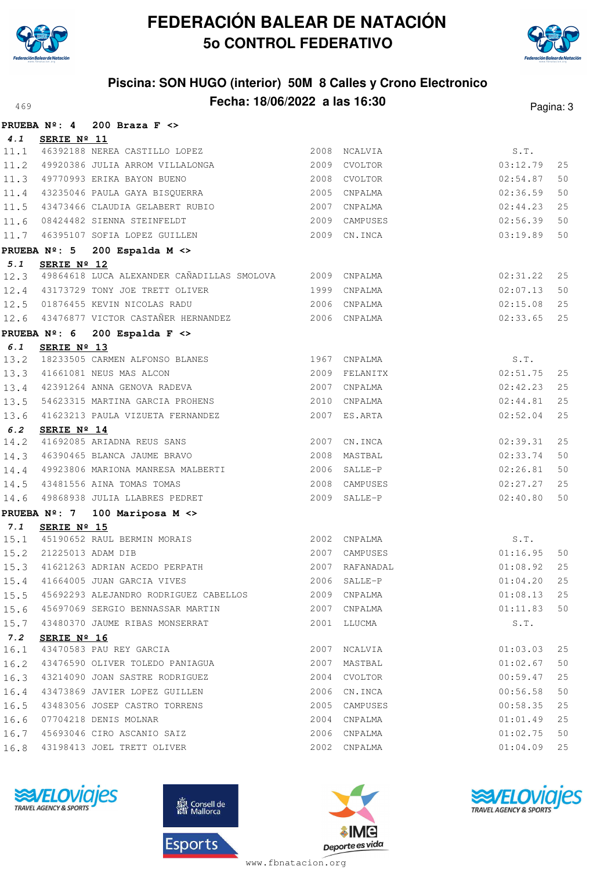



## **Piscina: SON HUGO (interior) 50M 8 Calles y Crono Electronico** A69 **Fecha: 18/06/2022 a las 16:30** Pagina: 3

|      | PRUEBA $N^{\circ}$ : 4 | 200 Braza $F \leq$                                      |      |                |          |    |
|------|------------------------|---------------------------------------------------------|------|----------------|----------|----|
| 4.1  | SERIE Nº 11            |                                                         |      |                |          |    |
| 11.1 |                        | 46392188 NEREA CASTILLO LOPEZ                           |      | 2008 NCALVIA   | S.T.     |    |
| 11.2 |                        | 49920386 JULIA ARROM VILLALONGA                         |      | 2009 CVOLTOR   | 03:12.79 | 25 |
|      |                        | 11.3 49770993 ERIKA BAYON BUENO                         |      | 2008 CVOLTOR   | 02:54.87 | 50 |
|      |                        | 11.4 43235046 PAULA GAYA BISQUERRA                      |      | 2005 CNPALMA   | 02:36.59 | 50 |
|      |                        | 11.5 43473466 CLAUDIA GELABERT RUBIO                    |      | 2007 CNPALMA   | 02:44.23 | 25 |
| 11.6 |                        | 08424482 SIENNA STEINFELDT                              |      | 2009 CAMPUSES  | 02:56.39 | 50 |
| 11.7 |                        | 46395107 SOFIA LOPEZ GUILLEN                            |      | 2009 CN.INCA   | 03:19.89 | 50 |
|      |                        | PRUEBA Nº: 5 200 Espalda M <>                           |      |                |          |    |
| 5.1  | SERIE Nº 12            |                                                         |      |                |          |    |
| 12.3 |                        | 49864618 LUCA ALEXANDER CAÑADILLAS SMOLOVA 2009 CNPALMA |      |                | 02:31.22 | 25 |
| 12.4 |                        | 43173729 TONY JOE TRETT OLIVER                          |      | 1999 CNPALMA   | 02:07.13 | 50 |
|      |                        | 12.5 01876455 KEVIN NICOLAS RADU                        |      | 2006 CNPALMA   | 02:15.08 | 25 |
|      |                        | 12.6 43476877 VICTOR CASTAÑER HERNANDEZ 2006 CNPALMA    |      |                | 02:33.65 | 25 |
|      |                        | PRUEBA $N^{\circ}$ : 6 200 Espalda F <>                 |      |                |          |    |
| 6.1  | SERIE Nº 13            |                                                         |      |                |          |    |
| 13.2 |                        | 18233505 CARMEN ALFONSO BLANES 1967 CNPALMA             |      |                | S.T.     |    |
| 13.3 |                        | 41661081 NEUS MAS ALCON                                 |      | 2009 FELANITX  | 02:51.75 | 25 |
| 13.4 |                        | 42391264 ANNA GENOVA RADEVA                             |      | 2007 CNPALMA   | 02:42.23 | 25 |
| 13.5 |                        | 54623315 MARTINA GARCIA PROHENS                         |      | 2010 CNPALMA   | 02:44.81 | 25 |
|      |                        | 13.6 41623213 PAULA VIZUETA FERNANDEZ                   |      | 2007 ES.ARTA   | 02:52.04 | 25 |
| 6.2  | SERIE Nº 14            |                                                         |      |                |          |    |
| 14.2 |                        | 41692085 ARIADNA REUS SANS                              |      | 2007 CN.INCA   | 02:39.31 | 25 |
| 14.3 |                        | 46390465 BLANCA JAUME BRAVO                             |      | 2008 MASTBAL   | 02:33.74 | 50 |
| 14.4 |                        | 49923806 MARIONA MANRESA MALBERTI                       |      | 2006 SALLE-P   | 02:26.81 | 50 |
|      |                        | 14.5 43481556 AINA TOMAS TOMAS                          |      | 2008 CAMPUSES  | 02:27.27 | 25 |
| 14.6 |                        | 49868938 JULIA LLABRES PEDRET                           |      | 2009 SALLE-P   | 02:40.80 | 50 |
|      | PRUEBA Nº: 7           | 100 Mariposa M <>                                       |      |                |          |    |
| 7.1  | SERIE Nº 15            |                                                         |      |                |          |    |
|      |                        | 15.1 45190652 RAUL BERMIN MORAIS                        |      | 2002 CNPALMA   | S.T.     |    |
|      | 15.2 21225013 ADAM DIB |                                                         |      | 2007 CAMPUSES  | 01:16.95 | 50 |
| 15.3 |                        | 41621263 ADRIAN ACEDO PERPATH                           |      | 2007 RAFANADAL | 01:08.92 | 25 |
| 15.4 |                        | 41664005 JUAN GARCIA VIVES 2006 SALLE-P                 |      |                | 01:04.20 | 25 |
|      |                        | 15.5 45692293 ALEJANDRO RODRIGUEZ CABELLOS 2009 CNPALMA |      |                | 01:08.13 | 25 |
| 15.6 |                        | 45697069 SERGIO BENNASSAR MARTIN                        |      | 2007 CNPALMA   | 01:11.83 | 50 |
| 15.7 |                        | 43480370 JAUME RIBAS MONSERRAT                          |      | 2001 LLUCMA    | S.T.     |    |
| 7.2  | SERIE Nº 16            |                                                         |      |                |          |    |
| 16.1 |                        | 43470583 PAU REY GARCIA                                 | 2007 | NCALVIA        | 01:03.03 | 25 |
| 16.2 |                        | 43476590 OLIVER TOLEDO PANIAGUA                         | 2007 | MASTBAL        | 01:02.67 | 50 |
| 16.3 |                        | 43214090 JOAN SASTRE RODRIGUEZ                          |      | 2004 CVOLTOR   | 00:59.47 | 25 |
| 16.4 |                        | 43473869 JAVIER LOPEZ GUILLEN                           | 2006 | CN.INCA        | 00:56.58 | 50 |
| 16.5 |                        | 43483056 JOSEP CASTRO TORRENS                           | 2005 | CAMPUSES       | 00:58.35 | 25 |
| 16.6 |                        | 07704218 DENIS MOLNAR                                   |      | 2004 CNPALMA   | 01:01.49 | 25 |
| 16.7 |                        | 45693046 CIRO ASCANIO SAIZ                              |      | 2006 CNPALMA   | 01:02.75 | 50 |
| 16.8 |                        | 43198413 JOEL TRETT OLIVER                              |      | 2002 CNPALMA   | 01:04.09 | 25 |







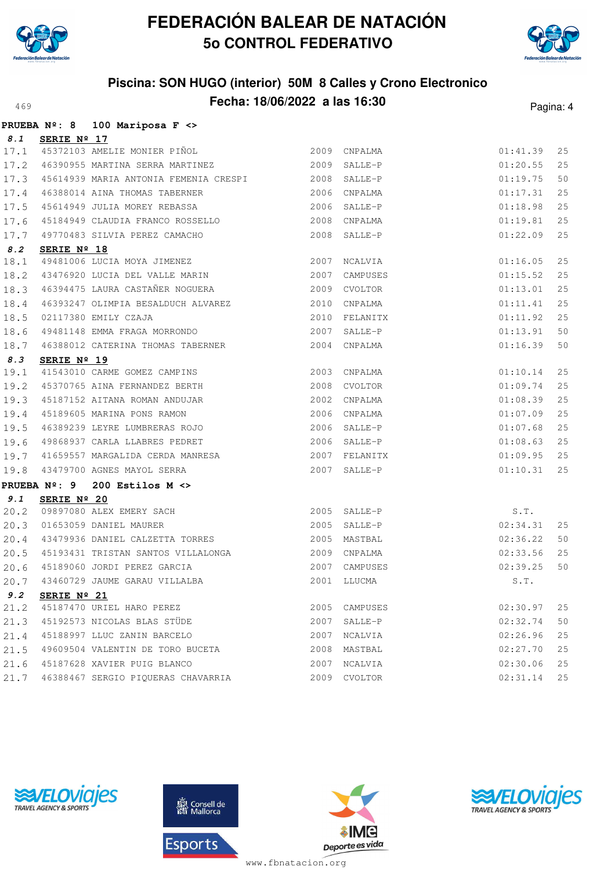

**PRUEBA Nº: 8 100 Mariposa F <>**

# **FEDERACIÓN BALEAR DE NATACIÓN 5o CONTROL FEDERATIVO**



## **Piscina: SON HUGO (interior) 50M 8 Calles y Crono Electronico Fecha: 18/06/2022 a las 16:30** Pagina: 4

|      | FRUEDA N-. U | $100$ Marrivos r $\sim$                                                                                                                                                                                                                                                                                                                                                                                    |      |               |                    |    |
|------|--------------|------------------------------------------------------------------------------------------------------------------------------------------------------------------------------------------------------------------------------------------------------------------------------------------------------------------------------------------------------------------------------------------------------------|------|---------------|--------------------|----|
| 8.1  | SERIE Nº 17  |                                                                                                                                                                                                                                                                                                                                                                                                            |      |               |                    |    |
|      |              | 17.1 45372103 AMELIE MONIER PIÑOL 2009 CNPALMA                                                                                                                                                                                                                                                                                                                                                             |      |               | 01:41.39           | 25 |
| 17.2 |              | 46390955 MARTINA SERRA MARTINEZ 2009 SALLE-P                                                                                                                                                                                                                                                                                                                                                               |      |               | 01:20.55           | 25 |
| 17.3 |              | 45614939 MARIA ANTONIA FEMENIA CRESPI 2008 SALLE-P                                                                                                                                                                                                                                                                                                                                                         |      |               | 01:19.75           | 50 |
| 17.4 |              |                                                                                                                                                                                                                                                                                                                                                                                                            | 2006 | CNPALMA       | 01:17.31           | 25 |
| 17.5 |              | 46388014 AINA THOMAS TABERNER<br>45614949 JULIA MOREY REBASSA                                                                                                                                                                                                                                                                                                                                              | 2006 | SALLE-P       | 01:18.98           | 25 |
| 17.6 |              | 45184949 CLAUDIA FRANCO ROSSELLO 2008                                                                                                                                                                                                                                                                                                                                                                      |      | CNPALMA       | 01:19.81           | 25 |
| 17.7 |              | 49770483 SILVIA PEREZ CAMACHO                                                                                                                                                                                                                                                                                                                                                                              | 2008 | SALLE-P       | 01:22.09           | 25 |
| 8.2  | SERIE Nº 18  |                                                                                                                                                                                                                                                                                                                                                                                                            |      |               |                    |    |
| 18.1 |              | 49481006 LUCIA MOYA JIMENEZ<br>43476920 LUCIA DEL VALLE MARIN                                                                                                                                                                                                                                                                                                                                              |      | 2007 NCALVIA  | 01:16.05           | 25 |
| 18.2 |              |                                                                                                                                                                                                                                                                                                                                                                                                            | 2007 | CAMPUSES      | 01:15.52           | 25 |
| 18.3 |              | 46394475 LAURA CASTAÑER NOGUERA 2009 CVOLTOR                                                                                                                                                                                                                                                                                                                                                               |      |               | 01:13.01           | 25 |
| 18.4 |              | $\begin{tabular}{lllllllllllll} \multicolumn{4}{c}{46393247}&0{\small\texttt{LIMPIA} BESALDUCH} &\multicolumn{4}{c}{ALVAREZ} & & 2010 & CNPALMA \\ \multicolumn{4}{c}{02117380}&E{\small\texttt{MILY} CZAJA} & & 2010 & FELANITX \\ \multicolumn{4}{c}{49481148}&E{\small\texttt{MMA} FRAGA} &\multicolumn{4}{c}{MORRONDO} & & 2007 & SALLE-P \\ \multicolumn{4}{c}{49481148}&E{\small\texttt{MMA} FRAGA}$ |      |               | 01:11.41           | 25 |
| 18.5 |              |                                                                                                                                                                                                                                                                                                                                                                                                            |      | 2010 FELANITX | 01:11.92           | 25 |
| 18.6 |              |                                                                                                                                                                                                                                                                                                                                                                                                            |      |               | 01:13.91           | 50 |
| 18.7 |              |                                                                                                                                                                                                                                                                                                                                                                                                            |      |               | 01:16.39           | 50 |
| 8.3  | SERIE Nº 19  |                                                                                                                                                                                                                                                                                                                                                                                                            |      |               |                    |    |
| 19.1 |              | 41543010 CARME GOMEZ CAMPINS                                                                                                                                                                                                                                                                                                                                                                               |      | 2003 CNPALMA  | 01:10.14           | 25 |
| 19.2 |              | 45370765 AINA FERNANDEZ BERTH                                                                                                                                                                                                                                                                                                                                                                              |      | 2008 CVOLTOR  | 01:09.74           | 25 |
| 19.3 |              | 2000 CVOLTOR<br>45187152 AITANA ROMAN ANDUJAR<br>45199695 MARTING EX                                                                                                                                                                                                                                                                                                                                       |      |               | 01:08.39           | 25 |
| 19.4 |              | 45189605 MARINA PONS RAMON                                                                                                                                                                                                                                                                                                                                                                                 |      | 2006 CNPALMA  | 01:07.09           | 25 |
| 19.5 |              | 46389239 LEYRE LUMBRERAS ROJO                                                                                                                                                                                                                                                                                                                                                                              |      | 2006 SALLE-P  | 01:07.68           | 25 |
| 19.6 |              | 49868937 CARLA LLABRES PEDRET                                                                                                                                                                                                                                                                                                                                                                              |      | 2006 SALLE-P  | 01:08.63           | 25 |
| 19.7 |              | 41659557 MARGALIDA CERDA MANRESA 2007 FELANITX                                                                                                                                                                                                                                                                                                                                                             |      |               | 01:09.95           | 25 |
| 19.8 |              | 43479700 AGNES MAYOL SERRA                                                                                                                                                                                                                                                                                                                                                                                 | 2007 | SALLE-P       | 01:10.31           | 25 |
|      |              | PRUEBA $N^{\circ}$ : 9 200 Estilos M <>                                                                                                                                                                                                                                                                                                                                                                    |      |               |                    |    |
| 9.1  | SERIE Nº 20  |                                                                                                                                                                                                                                                                                                                                                                                                            |      |               |                    |    |
| 20.2 |              | SERIE Nº 20<br>09897080 ALEX EMERY SACH<br>01653059 DANIEL MAURER                                                                                                                                                                                                                                                                                                                                          |      | 2005 SALLE-P  | $S.T.$<br>02:34.31 |    |
| 20.3 |              | 01653059 DANIEL MAURER                                                                                                                                                                                                                                                                                                                                                                                     |      | 2005 SALLE-P  |                    | 25 |
| 20.4 |              | 43479936 DANIEL CALZETTA TORRES 2005 MASTBAL                                                                                                                                                                                                                                                                                                                                                               |      |               | 02:36.22           | 50 |
| 20.5 |              |                                                                                                                                                                                                                                                                                                                                                                                                            |      | 2009 CNPALMA  | 02:33.56           | 25 |
| 20.6 |              | 45193431 TRISTAN SANTOS VILLALONGA<br>45189060 JORDI PEREZ GARCIA                                                                                                                                                                                                                                                                                                                                          |      | 2007 CAMPUSES | 02:39.25           | 50 |
| 20.7 |              | 43460729 JAUME GARAU VILLALBA                                                                                                                                                                                                                                                                                                                                                                              |      | 2001 LLUCMA   | S.T.               |    |
| 9.2  | SERIE Nº 21  |                                                                                                                                                                                                                                                                                                                                                                                                            |      |               |                    |    |
| 21.2 |              | 45187470 URIEL HARO PEREZ                                                                                                                                                                                                                                                                                                                                                                                  | 2005 | CAMPUSES      | 02:30.97           | 25 |
| 21.3 |              | 45192573 NICOLAS BLAS STÜDE                                                                                                                                                                                                                                                                                                                                                                                | 2007 | SALLE-P       | 02:32.74           | 50 |
| 21.4 |              | 45188997 LLUC ZANIN BARCELO                                                                                                                                                                                                                                                                                                                                                                                | 2007 | NCALVIA       | 02:26.96           | 25 |
| 21.5 |              | 49609504 VALENTIN DE TORO BUCETA                                                                                                                                                                                                                                                                                                                                                                           | 2008 | MASTBAL       | 02:27.70           | 25 |
| 21.6 |              | 45187628 XAVIER PUIG BLANCO                                                                                                                                                                                                                                                                                                                                                                                | 2007 | NCALVIA       | 02:30.06           | 25 |
| 21.7 |              | 46388467 SERGIO PIQUERAS CHAVARRIA                                                                                                                                                                                                                                                                                                                                                                         | 2009 | CVOLTOR       | 02:31.14           | 25 |







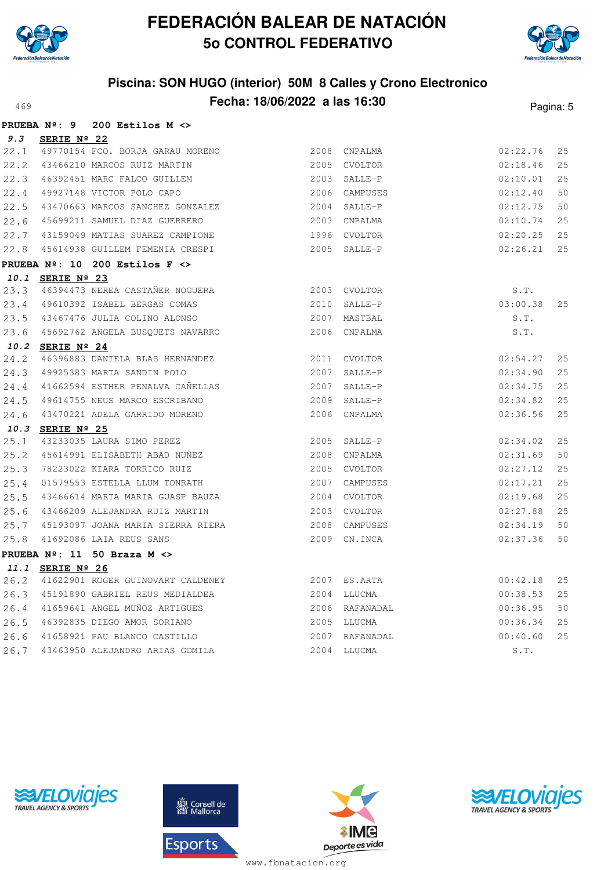



## **Piscina: SON HUGO (interior) 50M 8 Calles y Crono Electronico Fecha: 18/06/2022 a las 16:30**<sup>469</sup> Pagina: 5

|      | PRUEBA Nº: 9     | 200 Estilos $M \ll 1$                                             |                |          |     |
|------|------------------|-------------------------------------------------------------------|----------------|----------|-----|
| 9.3  | SERIE Nº 22      |                                                                   |                |          |     |
| 22.1 |                  | 49770154 FCO. BORJA GARAU MORENO                                  | 2008 CNPALMA   | 02:22.76 | 25  |
| 22.2 |                  | 43466210 MARCOS RUIZ MARTIN                                       | 2005 CVOLTOR   | 02:18.46 | 25  |
| 22.3 |                  | 46392451 MARC FALCO GUILLEM                                       | 2003 SALLE-P   | 02:10.01 | 25  |
| 22.4 |                  | 49927148 VICTOR POLO CAPO                                         | 2006 CAMPUSES  | 02:12.40 | 50  |
| 22.5 |                  | 43470663 MARCOS SANCHEZ GONZALEZ<br>45699211 SAMUEL DIAZ CUPPPERO | 2004 SALLE-P   | 02:12.75 | 50  |
| 22.6 |                  | 45699211 SAMUEL DIAZ GUERRERO                                     | 2003 CNPALMA   | 02:10.74 | 25  |
| 22.7 |                  | 43159049 MATIAS SUAREZ CAMPIONE                                   | 1996 CVOLTOR   | 02:20.25 | 25  |
| 22.8 |                  | 45614938 GUILLEM FEMENIA CRESPI                                   | 2005 SALLE-P   | 02:26.21 | 25  |
|      |                  | PRUEBA $N^{\circ}$ : 10 200 Estilos F <>                          |                |          |     |
|      | 10.1 SERIE Nº 23 |                                                                   |                |          |     |
| 23.3 |                  | 2003 CVOLTOR<br>46394473 NEREA CASTAÑER NOGUERA                   |                | S.T.     |     |
| 23.4 |                  | 49610392 ISABEL BERGAS COMAS<br>$2010$ SALLE-P                    |                | 03:00.38 | 25  |
| 23.5 |                  | 43467476 JULIA COLINO ALONSO                                      | 2007 MASTBAL   | S.T.     |     |
| 23.6 |                  | 45692762 ANGELA BUSQUETS NAVARRO                                  | 2006 CNPALMA   | S.T.     |     |
|      | 10.2 SERIE Nº 24 |                                                                   |                |          |     |
| 24.2 |                  | 46396883 DANIELA BLAS HERNANDEZ                                   | 2011 CVOLTOR   | 02:54.27 | 25  |
| 24.3 |                  | 49925383 MARTA SANDIN POLO                                        | 2007 SALLE-P   | 02:34.90 | 25  |
| 24.4 |                  | 41662594 ESTHER PENALVA CAÑELLAS                                  | 2007 SALLE-P   | 02:34.75 | 25  |
| 24.5 |                  | 49614755 NEUS MARCO ESCRIBANO                                     | 2009 SALLE-P   | 02:34.82 | 2.5 |
| 24.6 |                  | 43470221 ADELA GARRIDO MORENO                                     | 2006 CNPALMA   | 02:36.56 | 25  |
|      | 10.3 SERIE Nº 25 |                                                                   |                |          |     |
| 25.1 |                  | 43233035 LAURA SIMO PEREZ                                         | 2005 SALLE-P   | 02:34.02 | 25  |
| 25.2 |                  | 45614991 ELISABETH ABAD NUÑEZ                                     | 2008 CNPALMA   | 02:31.69 | 50  |
| 25.3 |                  | 78223022 KIARA TORRICO RUIZ                                       | 2005 CVOLTOR   | 02:27.12 | 25  |
| 25.4 |                  | 01579553 ESTELLA LLUM TONRATH                                     | 2007 CAMPUSES  | 02:17.21 | 25  |
| 25.5 |                  | 43466614 MARTA MARIA GUASP BAUZA                                  | 2004 CVOLTOR   | 02:19.68 | 25  |
| 25.6 |                  | 43466209 ALEJANDRA RUIZ MARTIN                                    | 2003 CVOLTOR   | 02:27.88 | 25  |
| 25.7 |                  | 45193097 JOANA MARIA SIERRA RIERA                                 | 2008 CAMPUSES  | 02:34.19 | 50  |
| 25.8 |                  | 41692086 LAIA REUS SANS                                           | 2009 CN. INCA  | 02:37.36 | 50  |
|      |                  | PRUEBA $N^{\circ}$ : 11 50 Braza M $\leftrightarrow$              |                |          |     |
|      | 11.1 SERIE Nº 26 |                                                                   |                |          |     |
| 26.2 |                  | 41622901 ROGER GUINOVART CALDENEY 2007 ES.ARTA                    |                | 00:42.18 | 25  |
| 26.3 |                  | 45191890 GABRIEL REUS MEDIALDEA                                   | 2004 LLUCMA    | 00:38.53 | 25  |
| 26.4 |                  | 41659641 ANGEL MUÑOZ ARTIGUES                                     | 2006 RAFANADAL | 00:36.95 | 50  |
| 26.5 |                  | 46392835 DIEGO AMOR SORIANO                                       | 2005 LLUCMA    | 00:36.34 | 25  |
| 26.6 |                  | 41658921 PAU BLANCO CASTILLO                                      | 2007 RAFANADAL | 00:40.60 | 25  |
| 26.7 |                  | 43463950 ALEJANDRO ARIAS GOMILA                                   | 2004 LLUCMA    | S.T.     |     |
|      |                  |                                                                   |                |          |     |





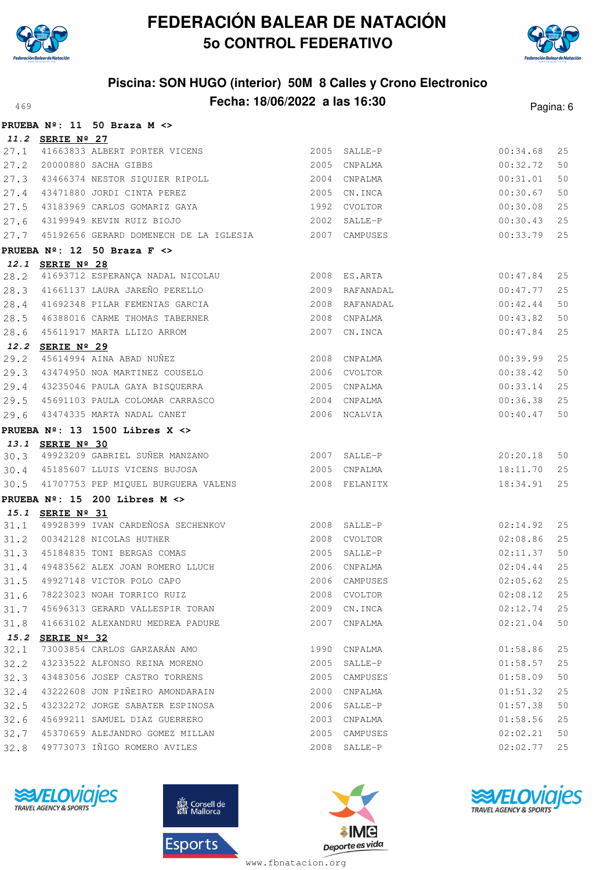



## **Piscina: SON HUGO (interior) 50M 8 Calles y Crono Electronico Fecha: 18/06/2022 a las 16:30**<sup>469</sup> Pagina: 6

|              |                      | PRUEBA Nº: 11 50 Braza M <>                           |      |                |          |    |
|--------------|----------------------|-------------------------------------------------------|------|----------------|----------|----|
|              | 11.2 SERIE Nº 27     |                                                       |      |                |          |    |
| 27.1         |                      | 41663833 ALBERT PORTER VICENS                         |      | 2005 SALLE-P   | 00:34.68 | 25 |
| 27.2         |                      | 20000880 SACHA GIBBS                                  |      | 2005 CNPALMA   | 00:32.72 | 50 |
| 27.3         |                      | 43466374 NESTOR SIQUIER RIPOLL                        |      | 2004 CNPALMA   | 00:31.01 | 50 |
| 27.4         |                      | 43471880 JORDI CINTA PEREZ                            |      | 2005 CN. INCA  | 00:30.67 | 50 |
| 27.5         |                      | 43183969 CARLOS GOMARIZ GAYA                          |      | 1992 CVOLTOR   | 00:30.08 | 25 |
| 27.6         |                      | 43199949 KEVIN RUIZ BIOJO                             |      | 2002 SALLE-P   | 00:30.43 | 25 |
| 27.7         |                      | 45192656 GERARD DOMENECH DE LA IGLESIA 62007 CAMPUSES |      |                | 00:33.79 | 25 |
|              |                      | PRUEBA $N^{\circ}$ : 12 50 Braza F $\leftrightarrow$  |      |                |          |    |
|              | 12.1 SERIE Nº 28     |                                                       |      |                |          |    |
| 28.2         |                      | 41693712 ESPERANÇA NADAL NICOLAU                      |      | 2008 ES.ARTA   | 00:47.84 | 25 |
| 28.3         |                      | 41661137 LAURA JAREÑO PERELLO                         |      | 2009 RAFANADAL | 00:47.77 | 25 |
| 28.4         |                      | 41692348 PILAR FEMENIAS GARCIA                        |      | 2008 RAFANADAL | 00:42.44 | 50 |
| 28.5         |                      | 46388016 CARME THOMAS TABERNER                        |      | 2008 CNPALMA   | 00:43.82 | 50 |
| 28.6         |                      | 45611917 MARTA LLIZO ARROM                            |      | 2007 CN.INCA   | 00:47.84 | 25 |
| 12.2         | SERIE $N^{\circ}$ 29 |                                                       |      |                |          |    |
| 29.2         |                      | 45614994 AINA ABAD NUÑEZ                              |      | 2008 CNPALMA   | 00:39.99 | 25 |
| 29.3         |                      | 43474950 NOA MARTINEZ COUSELO                         |      | 2006 CVOLTOR   | 00:38.42 | 50 |
| 29.4         |                      | 43235046 PAULA GAYA BISQUERRA                         |      | 2005 CNPALMA   | 00:33.14 | 25 |
| 29.5         |                      | 45691103 PAULA COLOMAR CARRASCO                       |      | 2004 CNPALMA   | 00:36.38 | 25 |
| 29.6         |                      | 43474335 MARTA NADAL CANET                            |      | 2006 NCALVIA   | 00:40.47 | 50 |
|              |                      | PRUEBA $N^{\circ}$ : 13 1500 Libres X <>              |      |                |          |    |
|              | 13.1 SERIE Nº 30     |                                                       |      |                |          |    |
|              |                      | 30.3 49923209 GABRIEL SUÑER MANZANO                   |      | 2007 SALLE-P   | 20:20.18 | 50 |
|              |                      | 30.4 45185607 LLUIS VICENS BUJOSA                     |      | 2005 CNPALMA   | 18:11.70 | 25 |
| 30.5         |                      | 41707753 PEP MIQUEL BURGUERA VALENS                   |      | 2008 FELANITX  | 18:34.91 | 25 |
|              |                      | PRUEBA $N^{\circ}$ : 15 200 Libres M <>               |      |                |          |    |
|              | 15.1 SERIE Nº 31     |                                                       |      |                |          |    |
| 31.1         |                      | 49928399 IVAN CARDEÑOSA SECHENKOV 6 2008 SALLE-P      |      |                | 02:14.92 | 25 |
| 31.2         |                      | 00342128 NICOLAS HUTHER                               |      | 2008 CVOLTOR   | 02:08.86 | 25 |
| 31.3         |                      | 45184835 TONI BERGAS COMAS                            |      | 2005 SALLE-P   | 02:11.37 | 50 |
| 31.4         |                      | 49483562 ALEX JOAN ROMERO LLUCH                       |      | 2006 CNPALMA   | 02:04.44 | 25 |
| 31.5         |                      | 49927148 VICTOR POLO CAPO                             |      | 2006 CAMPUSES  | 02:05.62 | 25 |
| 31.6         |                      | 78223023 NOAH TORRICO RUIZ                            |      | 2008 CVOLTOR   | 02:08.12 | 25 |
| 31.7         |                      | 45696313 GERARD VALLESPIR TORAN                       | 2009 | CN.INCA        | 02:12.74 | 25 |
| 31.8         |                      | 41663102 ALEXANDRU MEDREA PADURE                      | 2007 | CNPALMA        | 02:21.04 | 50 |
| 15.2<br>32.1 | SERIE Nº 32          | 73003854 CARLOS GARZARÁN AMO                          | 1990 | CNPALMA        | 01:58.86 | 25 |
| 32.2         |                      | 43233522 ALFONSO REINA MORENO                         | 2005 | SALLE-P        | 01:58.57 | 25 |
| 32.3         |                      | 43483056 JOSEP CASTRO TORRENS                         | 2005 | CAMPUSES       | 01:58.09 | 50 |
| 32.4         |                      | 43222608 JON PIÑEIRO AMONDARAIN                       | 2000 | CNPALMA        | 01:51.32 | 25 |
| 32.5         |                      | 43232272 JORGE SABATER ESPINOSA                       |      |                | 01:57.38 | 50 |
|              |                      | 45699211 SAMUEL DIAZ GUERRERO                         |      | 2006 SALLE-P   |          | 25 |
| 32.6         |                      | 45370659 ALEJANDRO GOMEZ MILLAN                       | 2003 | CNPALMA        | 01:58.56 | 50 |
| 32.7         |                      | 49773073 IÑIGO ROMERO AVILES                          |      | 2005 CAMPUSES  | 02:02.21 | 25 |
| 32.8         |                      |                                                       |      | 2008 SALLE-P   | 02:02.77 |    |







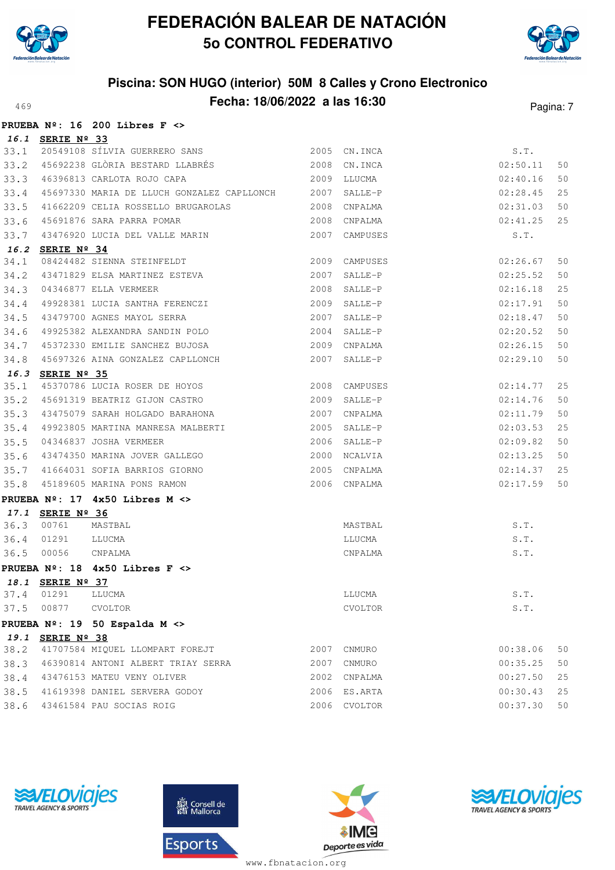

**PRUEBA Nº: 16 200 Libres F <>**

# **FEDERACIÓN BALEAR DE NATACIÓN 5o CONTROL FEDERATIVO**



## **Piscina: SON HUGO (interior) 50M 8 Calles y Crono Electronico Fecha: 18/06/2022 a las 16:30**<sup>469</sup> Pagina: 7

|      |                  | PROEBA Nº: 10 200 LIDIES F <>                               |      |               |          |    |
|------|------------------|-------------------------------------------------------------|------|---------------|----------|----|
|      | 16.1 SERIE Nº 33 |                                                             |      |               |          |    |
| 33.1 |                  | <u>ננ ×N בנ</u><br>20549108 SÍLVIA GUERRERO SANS            |      | 2005 CN.INCA  | S.T.     |    |
| 33.2 |                  | 45692238 GLÒRIA BESTARD LLABRÉS 2008                        |      | CN.INCA       | 02:50.11 | 50 |
| 33.3 |                  | 2009 LLUCMA<br>46396813 CARLOTA ROJO CAPA                   |      |               | 02:40.16 | 50 |
| 33.4 |                  | 45697330 MARIA DE LLUCH GONZALEZ CAPLLONCH                  | 2007 | SALLE-P       | 02:28.45 | 25 |
| 33.5 |                  | 41662209 CELIA ROSSELLO BRUGAROLAS                          | 2008 | CNPALMA       | 02:31.03 | 50 |
| 33.6 |                  | 45691876 SARA PARRA POMAR                                   | 2008 | CNPALMA       | 02:41.25 | 25 |
| 33.7 |                  | 43476920 LUCIA DEL VALLE MARIN                              | 2007 | CAMPUSES      | S.T.     |    |
|      | 16.2 SERIE Nº 34 |                                                             |      |               |          |    |
| 34.1 |                  | 08424482 SIENNA STEINFELDT<br>43471829 ELSA MARTINEZ ESTEVA |      | 2009 CAMPUSES | 02:26.67 | 50 |
| 34.2 |                  |                                                             | 2007 | SALLE-P       | 02:25.52 | 50 |
| 34.3 |                  | 04346877 ELLA VERMEER                                       | 2008 | SALLE-P       | 02:16.18 | 25 |
| 34.4 |                  | 49928381 LUCIA SANTHA FERENCZI                              |      | 2009 SALLE-P  | 02:17.91 | 50 |
| 34.5 |                  | 43479700 AGNES MAYOL SERRA                                  | 2007 | SALLE-P       | 02:18.47 | 50 |
| 34.6 |                  | 49925382 ALEXANDRA SANDIN POLO                              | 2004 | SALLE-P       | 02:20.52 | 50 |
| 34.7 |                  | 45372330 EMILIE SANCHEZ BUJOSA                              |      | 2009 CNPALMA  | 02:26.15 | 50 |
| 34.8 |                  | 45697326 AINA GONZALEZ CAPLLONCH                            | 2007 | SALLE-P       | 02:29.10 | 50 |
|      | 16.3 SERIE Nº 35 |                                                             |      |               |          |    |
| 35.1 |                  | 45370786 LUCIA ROSER DE HOYOS                               |      | 2008 CAMPUSES | 02:14.77 | 25 |
| 35.2 |                  | 45691319 BEATRIZ GIJON CASTRO                               | 2009 | SALLE-P       | 02:14.76 | 50 |
| 35.3 |                  | 43475079 SARAH HOLGADO BARAHONA                             | 2007 | CNPALMA       | 02:11.79 | 50 |
| 35.4 |                  | 49923805 MARTINA MANRESA MALBERTI<br>04346837 JOSHA VERMEER |      | 2005 SALLE-P  | 02:03.53 | 25 |
| 35.5 |                  | 04346837 JOSHA VERMEER                                      |      | 2006 SALLE-P  | 02:09.82 | 50 |
| 35.6 |                  | 43474350 MARINA JOVER GALLEGO                               |      | 2000 NCALVIA  | 02:13.25 | 50 |
| 35.7 |                  | 41664031 SOFIA BARRIOS GIORNO                               | 2005 | CNPALMA       | 02:14.37 | 25 |
| 35.8 |                  | 45189605 MARINA PONS RAMON                                  |      | 2006 CNPALMA  | 02:17.59 | 50 |
|      |                  | PRUEBA $N^2$ : 17 4x50 Libres M <>                          |      |               |          |    |
|      | 17.1 SERIE Nº 36 |                                                             |      |               |          |    |
| 36.3 | 00761            | MASTBAL                                                     |      | MASTBAL       | S.T.     |    |
| 36.4 | 01291            | LLUCMA                                                      |      | LLUCMA        | S.T.     |    |
| 36.5 | 00056            | CNPALMA                                                     |      | CNPALMA       | S.T.     |    |
|      |                  | PRUEBA $N^2$ : 18 4x50 Libres F <>                          |      |               |          |    |
|      | 18.1 SERIE Nº 37 |                                                             |      |               |          |    |
| 37.4 | 01291            | LLUCMA                                                      |      | LLUCMA        | S.T.     |    |
| 37.5 | 00877            | CVOLTOR                                                     |      | CVOLTOR       | S.T.     |    |
|      |                  | PRUEBA Nº: 19 50 Espalda M <>                               |      |               |          |    |
|      | 19.1 SERIE Nº 38 |                                                             |      |               |          |    |
| 38.2 |                  | 41707584 MIQUEL LLOMPART FOREJT                             | 2007 | CNMURO        | 00:38.06 | 50 |
| 38.3 |                  | 46390814 ANTONI ALBERT TRIAY SERRA                          | 2007 | CNMURO        | 00:35.25 | 50 |
| 38.4 |                  | 43476153 MATEU VENY OLIVER                                  | 2002 | CNPALMA       | 00:27.50 | 25 |
| 38.5 |                  | 41619398 DANIEL SERVERA GODOY                               |      | 2006 ES.ARTA  | 00:30.43 | 25 |
| 38.6 |                  | 43461584 PAU SOCIAS ROIG                                    | 2006 | CVOLTOR       | 00:37.30 | 50 |







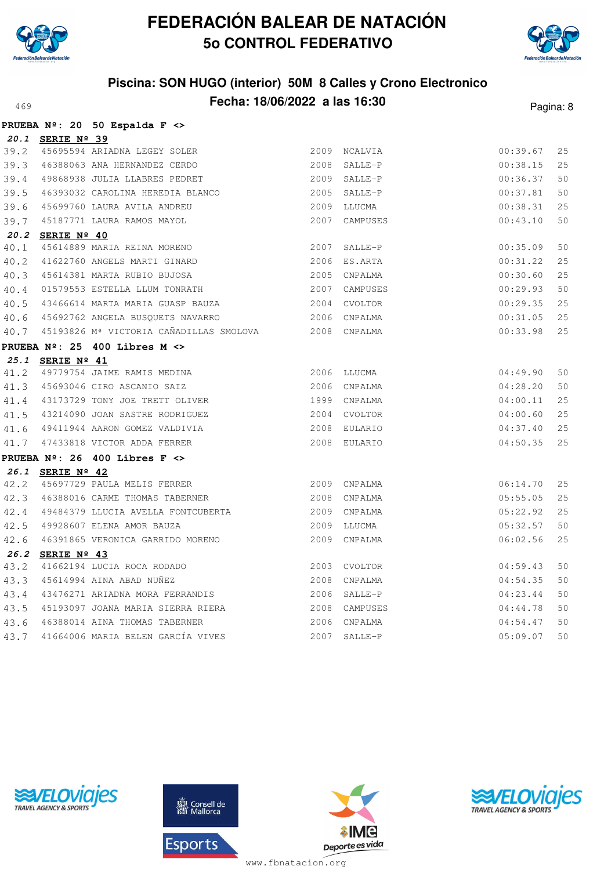



## **Piscina: SON HUGO (interior) 50M 8 Calles y Crono Electronico** A69 **Fecha: 18/06/2022 a las 16:30** Pagina: 8

|      |                      | PRUEBA Nº: 20 50 Espalda F <>                        |      |               |          |    |
|------|----------------------|------------------------------------------------------|------|---------------|----------|----|
|      | 20.1 SERIE Nº 39     |                                                      |      |               |          |    |
| 39.2 |                      | 45695594 ARIADNA LEGEY SOLER                         |      | 2009 NCALVIA  | 00:39.67 | 25 |
| 39.3 |                      | 46388063 ANA HERNANDEZ CERDO                         | 2008 | SALLE-P       | 00:38.15 | 25 |
| 39.4 |                      | 49868938 JULIA LLABRES PEDRET                        |      | 2009 SALLE-P  | 00:36.37 | 50 |
| 39.5 |                      | 46393032 CAROLINA HEREDIA BLANCO                     |      | 2005 SALLE-P  | 00:37.81 | 50 |
| 39.6 |                      | 45699760 LAURA AVILA ANDREU                          | 2009 | LLUCMA        | 00:38.31 | 25 |
| 39.7 |                      | 45187771 LAURA RAMOS MAYOL                           | 2007 | CAMPUSES      | 00:43.10 | 50 |
| 20.2 | SERIE $N^{\circ}$ 40 |                                                      |      |               |          |    |
| 40.1 |                      | 45614889 MARIA REINA MORENO                          | 2007 | SALLE-P       | 00:35.09 | 50 |
| 40.2 |                      | 41622760 ANGELS MARTI GINARD                         |      | 2006 ES.ARTA  | 00:31.22 | 25 |
| 40.3 |                      | 45614381 MARTA RUBIO BUJOSA                          | 2005 | CNPALMA       | 00:30.60 | 25 |
| 40.4 |                      | 01579553 ESTELLA LLUM TONRATH                        | 2007 | CAMPUSES      | 00:29.93 | 50 |
| 40.5 |                      | 43466614 MARTA MARIA GUASP BAUZA                     |      | 2004 CVOLTOR  | 00:29.35 | 25 |
| 40.6 |                      | 45692762 ANGELA BUSQUETS NAVARRO                     |      | 2006 CNPALMA  | 00:31.05 | 25 |
| 40.7 |                      | 45193826 Mª VICTORIA CAÑADILLAS SMOLOVA 2008 CNPALMA |      |               | 00:33.98 | 25 |
|      |                      | PRUEBA $N^{\circ}$ : 25 400 Libres M <>              |      |               |          |    |
|      | 25.1 SERIE Nº 41     |                                                      |      |               |          |    |
| 41.2 |                      | 49779754 JAIME RAMIS MEDINA                          |      | 2006 LLUCMA   | 04:49.90 | 50 |
| 41.3 |                      | 45693046 CIRO ASCANIO SAIZ                           |      | 2006 CNPALMA  | 04:28.20 | 50 |
| 41.4 |                      | 43173729 TONY JOE TRETT OLIVER                       |      | 1999 CNPALMA  | 04:00.11 | 25 |
| 41.5 |                      | 43214090 JOAN SASTRE RODRIGUEZ                       |      | 2004 CVOLTOR  | 04:00.60 | 25 |
| 41.6 |                      | 49411944 AARON GOMEZ VALDIVIA                        |      | 2008 EULARIO  | 04:37.40 | 25 |
| 41.7 |                      | 47433818 VICTOR ADDA FERRER                          |      | 2008 EULARIO  | 04:50.35 | 25 |
|      |                      | PRUEBA $N^{\circ}$ : 26 400 Libres F <>              |      |               |          |    |
|      | 26.1 SERIE Nº 42     |                                                      |      |               |          |    |
| 42.2 |                      | 45697729 PAULA MELIS FERRER                          |      | 2009 CNPALMA  | 06:14.70 | 25 |
| 42.3 |                      | 46388016 CARME THOMAS TABERNER                       | 2008 | CNPALMA       | 05:55.05 | 25 |
| 42.4 |                      | 49484379 LLUCIA AVELLA FONTCUBERTA                   |      | 2009 CNPALMA  | 05:22.92 | 25 |
| 42.5 |                      | 49928607 ELENA AMOR BAUZA                            | 2009 | LLUCMA        | 05:32.57 | 50 |
| 42.6 |                      | 46391865 VERONICA GARRIDO MORENO                     | 2009 | CNPALMA       | 06:02.56 | 25 |
| 26.2 | SERIE Nº 43          |                                                      |      |               |          |    |
| 43.2 |                      | 41662194 LUCIA ROCA RODADO                           |      | 2003 CVOLTOR  | 04:59.43 | 50 |
| 43.3 |                      | 45614994 AINA ABAD NUÑEZ                             |      | 2008 CNPALMA  | 04:54.35 | 50 |
| 43.4 |                      | 43476271 ARIADNA MORA FERRANDIS                      |      | 2006 SALLE-P  | 04:23.44 | 50 |
| 43.5 |                      | 45193097 JOANA MARIA SIERRA RIERA                    |      | 2008 CAMPUSES | 04:44.78 | 50 |
| 43.6 |                      | 46388014 AINA THOMAS TABERNER                        | 2006 | CNPALMA       | 04:54.47 | 50 |
| 43.7 |                      | 41664006 MARIA BELEN GARCÍA VIVES                    | 2007 | SALLE-P       | 05:09.07 | 50 |





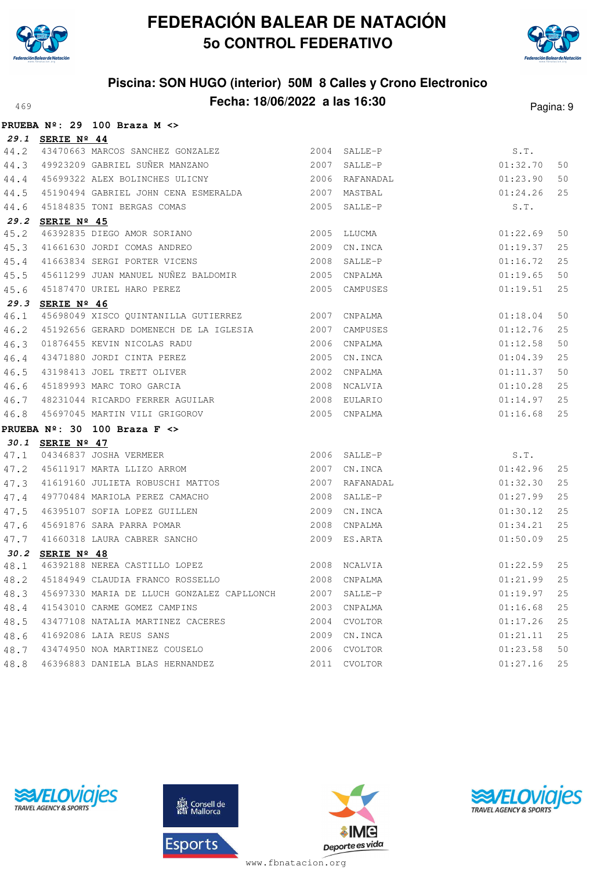



### **Piscina: SON HUGO (interior) 50M 8 Calles y Crono Electronico** A69 **Fecha: 18/06/2022 a las 16:30** Pagina: 9

|      |                  | PRUEBA $N^{\circ}$ : 29 100 Braza M <>                                                      |      |               |          |      |
|------|------------------|---------------------------------------------------------------------------------------------|------|---------------|----------|------|
|      | 29.1 SERIE Nº 44 |                                                                                             |      |               |          |      |
| 44.2 |                  | 43470663 MARCOS SANCHEZ GONZALEZ 2004 SALLE-P                                               |      |               | S.T.     |      |
| 44.3 |                  |                                                                                             |      |               | 01:32.70 | 50   |
| 44.4 |                  | 45699322 ALEX BOLINCHES ULICNY 2006 RAFANADAL                                               |      |               | 01:23.90 | 50   |
| 44.5 |                  | 45190494 GABRIEL JOHN CENA ESMERALDA 62007 MASTBAL                                          |      |               | 01:24.26 | 25   |
| 44.6 |                  | 45184835 TONI BERGAS COMAS                                                                  |      | 2005 SALLE-P  | S.T.     |      |
| 29.2 | SERIE Nº 45      |                                                                                             |      |               |          |      |
| 45.2 |                  | 46392835 DIEGO AMOR SORIANO                                                                 | 2005 | LLUCMA        | 01:22.69 | 50   |
| 45.3 |                  | 41661630 JORDI COMAS ANDREO                                                                 | 2009 | CN.INCA       | 01:19.37 | 25   |
| 45.4 |                  | 41663834 SERGI PORTER VICENS                                                                |      | 2008 SALLE-P  | 01:16.72 | 25   |
| 45.5 |                  | 45611299 JUAN MANUEL NUÑEZ BALDOMIR<br><br>2005 CNPALMA                                     |      |               | 01:19.65 | 50   |
| 45.6 |                  | 45187470 URIEL HARO PEREZ                                                                   |      | 2005 CAMPUSES | 01:19.51 | 25   |
|      | 29.3 SERIE Nº 46 |                                                                                             |      |               |          |      |
| 46.1 |                  | 45698049 XISCO QUINTANILLA GUTIERREZ 2007 CNPALMA                                           |      |               | 01:18.04 | 50   |
| 46.2 |                  | 45192656 GERARD DOMENECH DE LA IGLESIA 2007 CAMPUSES                                        |      |               | 01:12.76 | 25   |
| 46.3 |                  | 2006 CNPALMA<br>2005 CN.INCA<br>2002 CNPALMA<br>2008 NCALVIA<br>01876455 KEVIN NICOLAS RADU |      |               | 01:12.58 | 50   |
| 46.4 |                  | 43471880 JORDI CINTA PEREZ                                                                  |      |               | 01:04.39 | 25   |
| 46.5 |                  | 43198413 JOEL TRETT OLIVER                                                                  |      |               | 01:11.37 | 50   |
| 46.6 |                  | 45189993 MARC TORO GARCIA                                                                   |      |               | 01:10.28 | 25   |
| 46.7 |                  | 48231044 RICARDO FERRER AGUILAR 2008                                                        |      | EULARIO       | 01:14.97 | 25   |
| 46.8 |                  | 45697045 MARTIN VILI GRIGOROV                                                               |      | 2005 CNPALMA  | 01:16.68 | 25   |
|      |                  | PRUEBA $N^{\circ}$ : 30 100 Braza F <>                                                      |      |               |          |      |
|      | 30.1 SERIE Nº 47 |                                                                                             |      |               |          |      |
| 47.1 |                  | 04346837 JOSHA VERMEER                                                                      |      | 2006 SALLE-P  | S.T.     |      |
| 47.2 |                  | 45611917 MARTA LLIZO ARROM                                                                  | 2007 | CN.INCA       | 01:42.96 | 25   |
| 47.3 |                  | 41619160 JULIETA ROBUSCHI MATTOS                                                            | 2007 | RAFANADAL     | 01:32.30 | 25   |
| 47.4 |                  | 49770484 MARIOLA PEREZ CAMACHO                                                              | 2008 | SALLE-P       | 01:27.99 | 25   |
| 47.5 |                  | 46395107 SOFIA LOPEZ GUILLEN                                                                | 2009 | CN.INCA       | 01:30.12 | 25   |
| 47.6 |                  | 11.000<br>45691876 SARA PARRA POMAR<br>41660318 LAURA CABRER SANCHO                         | 2008 | CNPALMA       | 01:34.21 | 25   |
| 47.7 |                  |                                                                                             |      | 2009 ES.ARTA  | 01:50.09 | 25   |
|      | 30.2 SERIE Nº 48 |                                                                                             |      |               |          |      |
| 48.1 |                  | 46392188 NEREA CASTILLO LOPEZ<br>45184949 CLAUDIA FRANCO ROSSELLO                           |      | 2008 NCALVIA  | 01:22.59 | 25   |
| 48.2 |                  |                                                                                             |      | 2008 CNPALMA  | 01:21.99 | $25$ |
| 48.3 |                  | 45697330 MARIA DE LLUCH GONZALEZ CAPLLONCH                                                  |      | 2007 SALLE-P  | 01:19.97 | 25   |
| 48.4 |                  | 41543010 CARME GOMEZ CAMPINS                                                                |      | 2003 CNPALMA  | 01:16.68 | 25   |
| 48.5 |                  | 43477108 NATALIA MARTINEZ CACERES                                                           |      | 2004 CVOLTOR  | 01:17.26 | 25   |
| 48.6 |                  | 41692086 LAIA REUS SANS                                                                     |      | 2009 CN. INCA | 01:21.11 | 25   |
| 48.7 |                  | 43474950 NOA MARTINEZ COUSELO                                                               |      | 2006 CVOLTOR  | 01:23.58 | 50   |
| 48.8 |                  | 46396883 DANIELA BLAS HERNANDEZ                                                             |      | 2011 CVOLTOR  | 01:27.16 | 25   |







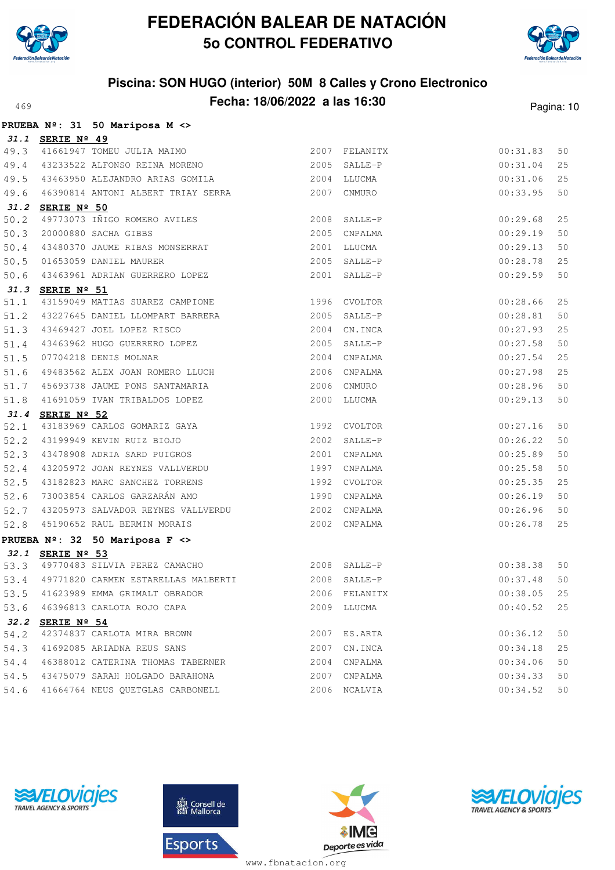



### **Piscina: SON HUGO (interior) 50M 8 Calles y Crono Electronico Fecha: 18/06/2022 a las 16:30**<sup>469</sup> Pagina: 10

|      |                  | PRUEBA Nº: 31 50 Mariposa M <>                                                                                                                                                                                         |      |                                               |          |    |
|------|------------------|------------------------------------------------------------------------------------------------------------------------------------------------------------------------------------------------------------------------|------|-----------------------------------------------|----------|----|
|      | 31.1 SERIE Nº 49 |                                                                                                                                                                                                                        |      |                                               |          |    |
|      |                  | 49.3 41661947 TOMEU JULIA MAIMO<br>49.4 43233522 ALFONSO REINA MORENO                                                                                                                                                  |      |                                               | 00:31.83 | 50 |
|      |                  |                                                                                                                                                                                                                        |      | 2007 FELANITX<br>2005 SALLE-P<br>2005 SALLE-P | 00:31.04 | 25 |
|      |                  | 49.5 43463950 ALEJANDRO ARIAS GOMILA 2004 LLUCMA                                                                                                                                                                       |      |                                               | 00:31.06 | 25 |
|      |                  | 49.6 46390814 ANTONI ALBERT TRIAY SERRA 2007 CNMURO                                                                                                                                                                    |      |                                               | 00:33.95 | 50 |
|      | 31.2 SERIE Nº 50 |                                                                                                                                                                                                                        |      |                                               |          |    |
|      |                  | 51.2 SERIE Nº 50<br>50.2 49773073 IÑIGO ROMERO AVILES<br>50.3 20000880 SACHA GIBBS<br>50.4 43480370 JAUME RIBAS MONSERRAT                                                                                              |      | 2008 SALLE-P                                  | 00:29.68 | 25 |
|      |                  |                                                                                                                                                                                                                        |      | 2005 CNPALMA                                  | 00:29.19 | 50 |
|      |                  |                                                                                                                                                                                                                        |      | 2001 LLUCMA                                   | 00:29.13 | 50 |
|      |                  | 50.5 01653059 DANIEL MAURER<br>50.6 43463961 ADRIAN GUERRERO LOPEZ                                                                                                                                                     |      | 2005 SALLE-P                                  | 00:28.78 | 25 |
|      |                  |                                                                                                                                                                                                                        |      | 2001 SALLE-P                                  | 00:29.59 | 50 |
|      | 31.3 SERIE Nº 51 |                                                                                                                                                                                                                        |      |                                               |          |    |
| 51.1 |                  | 43159049 MATIAS SUAREZ CAMPIONE 1996 CVOLTOR                                                                                                                                                                           |      |                                               | 00:28.66 | 25 |
| 51.2 |                  | 43227645 DANIEL LLOMPART BARRERA 2005 SALLE-P                                                                                                                                                                          |      |                                               | 00:28.81 | 50 |
|      |                  |                                                                                                                                                                                                                        |      | 2004 CN. INCA                                 | 00:27.93 | 25 |
|      |                  | 51.3 43469427 JOEL LOPEZ RISCO<br>51.4 43463962 HUGO GUERRERO LOPEZ<br>51.5 07704218 DENIS MOLNAR                                                                                                                      |      | 2005 SALLE-P                                  | 00:27.58 | 50 |
|      |                  |                                                                                                                                                                                                                        |      | 2004 CNPALMA                                  | 00:27.54 | 25 |
| 51.6 |                  | 49483562 ALEX JOAN ROMERO LLUCH 2006 CNPALMA                                                                                                                                                                           |      |                                               | 00:27.98 | 25 |
|      |                  | 51.7 45693738 JAUME PONS SANTAMARIA                                                                                                                                                                                    |      | 2006 CNMURO                                   | 00:28.96 | 50 |
| 51.8 |                  | 41691059 IVAN TRIBALDOS LOPEZ                                                                                                                                                                                          |      | 2000 LLUCMA                                   | 00:29.13 | 50 |
|      | 31.4 SERIE Nº 52 |                                                                                                                                                                                                                        |      |                                               |          |    |
|      |                  |                                                                                                                                                                                                                        |      |                                               | 00:27.16 | 50 |
|      |                  | 31.4 SERIE Nº 52<br>52.1 43183969 CARLOS GOMARIZ GAYA 1992 CVOLTOR<br>52.2 43199949 KEVIN RUIZ BIOJO 2002 SALLE-P<br>52.3 43478908 ADRIA SARD PUIGROS 2001 CNPALMA<br>52.4 43205972 JOAN REYNES VALLVERDU 1997 CNPALMA |      |                                               | 00:26.22 | 50 |
|      |                  |                                                                                                                                                                                                                        |      |                                               | 00:25.89 | 50 |
|      |                  |                                                                                                                                                                                                                        |      |                                               | 00:25.58 | 50 |
| 52.5 |                  | 43182823 MARC SANCHEZ TORRENS 1992 CVOLTOR                                                                                                                                                                             |      |                                               | 00:25.35 | 25 |
|      |                  | 52.6 73003854 CARLOS GARZARÁN AMO (1990)                                                                                                                                                                               |      | CNPALMA                                       | 00:26.19 | 50 |
|      |                  | 52.7 43205973 SALVADOR REYNES VALLVERDU<br>52.8 45190652 RAUL BERMIN MORAIS                                                                                                                                            |      | 2002 CNPALMA                                  | 00:26.96 | 50 |
|      |                  |                                                                                                                                                                                                                        |      | 2002 CNPALMA                                  | 00:26.78 | 25 |
|      |                  | PRUEBA $N^{\circ}$ : 32 50 Mariposa F <>                                                                                                                                                                               |      |                                               |          |    |
|      | 32.1 SERIE Nº 53 |                                                                                                                                                                                                                        |      |                                               |          |    |
|      |                  | 52.1 SERIE Nº 33<br>53.3 49770483 SILVIA PEREZ CAMACHO 2008 SALLE-P<br>53.3 49771820 CARMEN ESTARELLAS MALBERTI 2008 SALLE-P                                                                                           |      |                                               | 00:38.38 | 50 |
|      |                  |                                                                                                                                                                                                                        |      |                                               | 00:37.48 | 50 |
| 53.5 |                  | 41623989 EMMA GRIMALT OBRADOR                                                                                                                                                                                          |      | 2006 FELANITX                                 | 00:38.05 | 25 |
| 53.6 |                  | 46396813 CARLOTA ROJO CAPA                                                                                                                                                                                             |      | 2009 LLUCMA                                   | 00:40.52 | 25 |
| 32.2 | SERIE Nº 54      |                                                                                                                                                                                                                        |      |                                               |          |    |
| 54.2 |                  | 42374837 CARLOTA MIRA BROWN                                                                                                                                                                                            | 2007 | ES.ARTA                                       | 00:36.12 | 50 |
| 54.3 |                  | 41692085 ARIADNA REUS SANS                                                                                                                                                                                             | 2007 | CN.INCA                                       | 00:34.18 | 25 |
| 54.4 |                  | 46388012 CATERINA THOMAS TABERNER                                                                                                                                                                                      | 2004 | CNPALMA                                       | 00:34.06 | 50 |
| 54.5 |                  | 43475079 SARAH HOLGADO BARAHONA                                                                                                                                                                                        | 2007 | CNPALMA                                       | 00:34.33 | 50 |
| 54.6 |                  | 41664764 NEUS QUETGLAS CARBONELL                                                                                                                                                                                       |      | 2006 NCALVIA                                  | 00:34.52 | 50 |







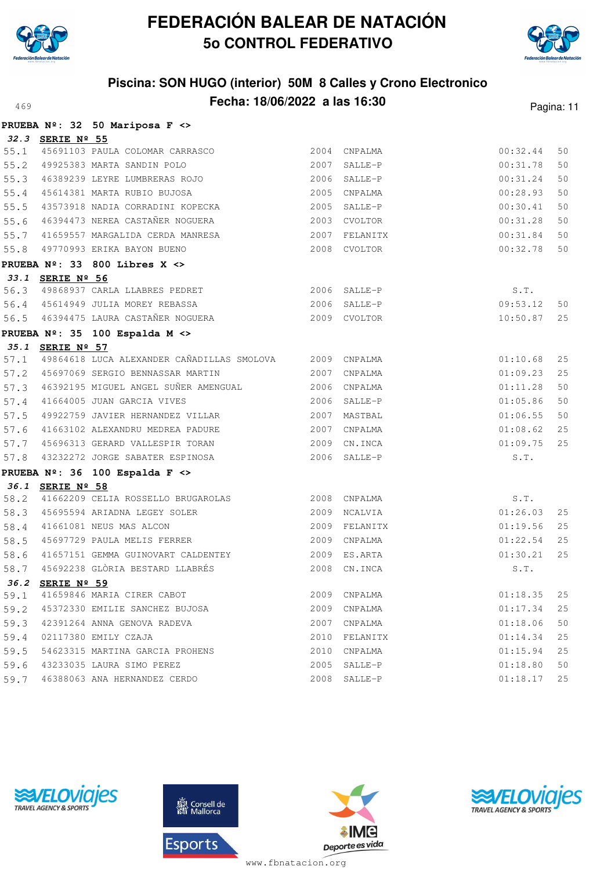

**PRUEBA Nº: 32 50 Mariposa F <>**

# **FEDERACIÓN BALEAR DE NATACIÓN 5o CONTROL FEDERATIVO**



## **Piscina: SON HUGO (interior) 50M 8 Calles y Crono Electronico Fecha: 18/06/2022 a las 16:30**<sup>469</sup> Pagina: 11

|      |                  | FROEDA N-. JZ JO MAIIPOSA F <>                          |                |               |          |    |
|------|------------------|---------------------------------------------------------|----------------|---------------|----------|----|
|      | 32.3 SERIE Nº 55 |                                                         |                |               |          |    |
|      |                  | 55.1 45691103 PAULA COLOMAR CARRASCO                    |                | 2004 CNPALMA  | 00:32.44 | 50 |
| 55.2 |                  | 49925383 MARTA SANDIN POLO                              |                | 2007 SALLE-P  | 00:31.78 | 50 |
| 55.3 |                  | 46389239 LEYRE LUMBRERAS ROJO                           |                | 2006 SALLE-P  | 00:31.24 | 50 |
| 55.4 |                  | 45614381 MARTA RUBIO BUJOSA                             |                | 2005 CNPALMA  | 00:28.93 | 50 |
| 55.5 |                  | 43573918 NADIA CORRADINI KOPECKA                        |                | 2005 SALLE-P  | 00:30.41 | 50 |
| 55.6 |                  | 46394473 NEREA CASTAÑER NOGUERA                         |                | 2003 CVOLTOR  | 00:31.28 | 50 |
| 55.7 |                  | 41659557 MARGALIDA CERDA MANRESA                        |                | 2007 FELANITX | 00:31.84 | 50 |
| 55.8 |                  | 49770993 ERIKA BAYON BUENO                              |                | 2008 CVOLTOR  | 00:32.78 | 50 |
|      |                  | PRUEBA $N^{\circ}$ : 33 800 Libres X <>                 |                |               |          |    |
|      | 33.1 SERIE Nº 56 |                                                         |                |               |          |    |
| 56.3 |                  | 49868937 CARLA LLABRES PEDRET                           |                | 2006 SALLE-P  | S.T.     |    |
|      |                  | 56.4 45614949 JULIA MOREY REBASSA                       | $2006$ SALLE-P |               | 09:53.12 | 50 |
|      |                  | 56.5 46394475 LAURA CASTAÑER NOGUERA                    |                | 2009 CVOLTOR  | 10:50.87 | 25 |
|      |                  | PRUEBA Nº: 35 100 Espalda M <>                          |                |               |          |    |
|      | 35.1 SERIE Nº 57 |                                                         |                |               |          |    |
| 57.1 |                  | 49864618 LUCA ALEXANDER CAÑADILLAS SMOLOVA 2009 CNPALMA |                |               | 01:10.68 | 25 |
| 57.2 |                  | 45697069 SERGIO BENNASSAR MARTIN                        |                | 2007 CNPALMA  | 01:09.23 | 25 |
| 57.3 |                  | 46392195 MIGUEL ANGEL SUÑER AMENGUAL                    |                | 2006 CNPALMA  | 01:11.28 | 50 |
| 57.4 |                  | 41664005 JUAN GARCIA VIVES                              |                | 2006 SALLE-P  | 01:05.86 | 50 |
| 57.5 |                  | 49922759 JAVIER HERNANDEZ VILLAR                        |                | 2007 MASTBAL  | 01:06.55 | 50 |
| 57.6 |                  | 41663102 ALEXANDRU MEDREA PADURE                        |                | 2007 CNPALMA  | 01:08.62 | 25 |
| 57.7 |                  | 45696313 GERARD VALLESPIR TORAN                         |                | 2009 CN. INCA | 01:09.75 | 25 |
| 57.8 |                  | 43232272 JORGE SABATER ESPINOSA                         |                | 2006 SALLE-P  | S.T.     |    |
|      |                  | PRUEBA Nº: 36 100 Espalda F <>                          |                |               |          |    |
|      | 36.1 SERIE Nº 58 |                                                         |                |               |          |    |
| 58.2 |                  | 41662209 CELIA ROSSELLO BRUGAROLAS                      |                | 2008 CNPALMA  | S.T.     |    |
| 58.3 |                  | 45695594 ARIADNA LEGEY SOLER                            |                | 2009 NCALVIA  | 01:26.03 | 25 |
| 58.4 |                  | 41661081 NEUS MAS ALCON                                 |                | 2009 FELANITX | 01:19.56 | 25 |
| 58.5 |                  | 45697729 PAULA MELIS FERRER                             |                | 2009 CNPALMA  | 01:22.54 | 25 |
| 58.6 |                  | 41657151 GEMMA GUINOVART CALDENTEY                      |                | 2009 ES.ARTA  | 01:30.21 | 25 |
| 58.7 |                  | 45692238 GLÒRIA BESTARD LLABRÉS                         |                | 2008 CN. INCA | S.T.     |    |
| 36.2 | SERIE Nº 59      |                                                         |                |               |          |    |
| 59.1 |                  | 41659846 MARIA CIRER CABOT                              | 2009           | CNPALMA       | 01:18.35 | 25 |
| 59.2 |                  | 45372330 EMILIE SANCHEZ BUJOSA                          | 2009           | CNPALMA       | 01:17.34 | 25 |
| 59.3 |                  | 42391264 ANNA GENOVA RADEVA                             | 2007           | CNPALMA       | 01:18.06 | 50 |
| 59.4 |                  | 02117380 EMILY CZAJA                                    | 2010           | FELANITX      | 01:14.34 | 25 |
| 59.5 |                  | 54623315 MARTINA GARCIA PROHENS                         | 2010           | CNPALMA       | 01:15.94 | 25 |
| 59.6 |                  | 43233035 LAURA SIMO PEREZ                               | 2005           | SALLE-P       | 01:18.80 | 50 |
| 59.7 |                  | 46388063 ANA HERNANDEZ CERDO                            | 2008           | SALLE-P       | 01:18.17 | 25 |







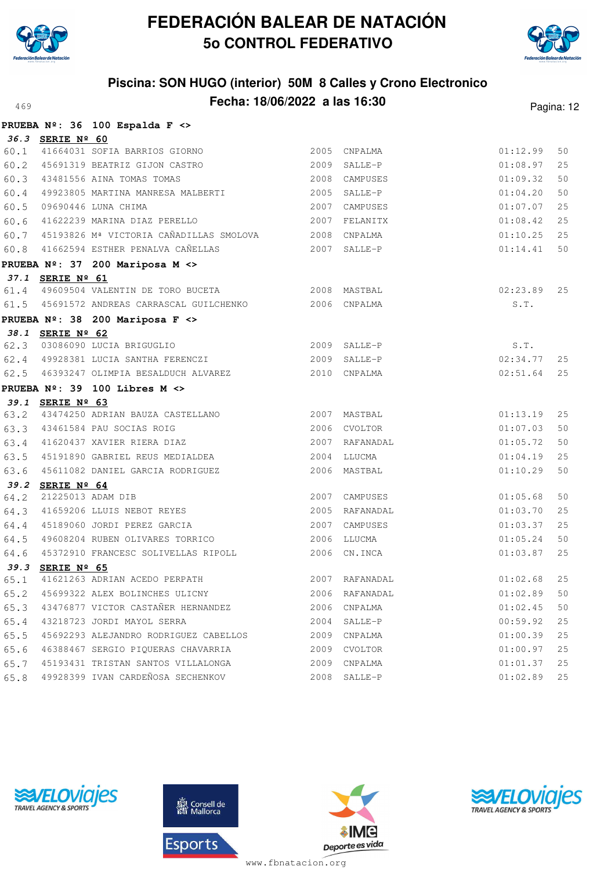



## **Piscina: SON HUGO (interior) 50M 8 Calles y Crono Electronico Fecha: 18/06/2022 a las 16:30**<sup>469</sup> Pagina: 12

|      |                  | PRUEBA Nº: 36 100 Espalda F <>                           |              |                |               |    |
|------|------------------|----------------------------------------------------------|--------------|----------------|---------------|----|
|      | 36.3 SERIE Nº 60 |                                                          |              |                |               |    |
|      |                  | 60.1 41664031 SOFIA BARRIOS GIORNO                       |              | 2005 CNPALMA   | 01:12.99      | 50 |
|      |                  | 60.2 45691319 BEATRIZ GIJON CASTRO                       |              | 2009 SALLE-P   | 01:08.97      | 25 |
| 60.3 |                  | 43481556 AINA TOMAS TOMAS                                |              | 2008 CAMPUSES  | 01:09.32      | 50 |
| 60.4 |                  | 49923805 MARTINA MANRESA MALBERTI                        |              | 2005 SALLE-P   | 01:04.20      | 50 |
| 60.5 |                  | 09690446 LUNA CHIMA                                      |              | 2007 CAMPUSES  | 01:07.07      | 25 |
| 60.6 |                  | 41622239 MARINA DIAZ PERELLO                             |              | 2007 FELANITX  | 01:08.42      | 25 |
| 60.7 |                  | 45193826 Mª VICTORIA CAÑADILLAS SMOLOVA 2008 CNPALMA     |              |                | 01:10.25      | 25 |
| 60.8 |                  | 41662594 ESTHER PENALVA CAÑELLAS                         | 2007 SALLE-P |                | 01:14.41      | 50 |
|      |                  | PRUEBA Nº: 37 200 Mariposa M <>                          |              |                |               |    |
|      | 37.1 SERIE Nº 61 |                                                          |              |                |               |    |
| 61.4 |                  |                                                          |              |                | $02:23.89$ 25 |    |
|      |                  | 61.5 45691572 ANDREAS CARRASCAL GUILCHENKO  2006 CNPALMA |              |                | S.T.          |    |
|      |                  | PRUEBA Nº: 38 200 Mariposa F <>                          |              |                |               |    |
|      | 38.1 SERIE Nº 62 |                                                          |              |                |               |    |
|      |                  | 62.3 03086090 LUCIA BRIGUGLIO                            |              | 2009 SALLE-P   | S.T.          |    |
|      |                  | 62.4 49928381 LUCIA SANTHA FERENCZI (2009 SALLE-P        |              |                | 02:34.77      | 25 |
|      |                  | 62.5 46393247 OLIMPIA BESALDUCH ALVAREZ 2010 CNPALMA     |              |                | 02:51.64      | 25 |
|      |                  | PRUEBA $N^{\circ}$ : 39 100 Libres M <>                  |              |                |               |    |
|      | 39.1 SERIE Nº 63 |                                                          |              |                |               |    |
| 63.2 |                  | 43474250 ADRIAN BAUZA CASTELLANO 6 2007 MASTBAL          |              |                | 01:13.19      | 25 |
|      |                  | 63.3 43461584 PAU SOCIAS ROIG                            | 2006 CVOLTOR |                | 01:07.03      | 50 |
|      |                  | 63.4 41620437 XAVIER RIERA DIAZ                          |              | 2007 RAFANADAL | 01:05.72      | 50 |
| 63.5 |                  | 45191890 GABRIEL REUS MEDIALDEA                          |              | 2004 LLUCMA    | 01:04.19      | 25 |
| 63.6 |                  | 45611082 DANIEL GARCIA RODRIGUEZ                         |              | 2006 MASTBAL   | 01:10.29      | 50 |
| 39.2 | SERIE Nº 64      |                                                          |              |                |               |    |
| 64.2 |                  | 21225013 ADAM DIB                                        |              | 2007 CAMPUSES  | 01:05.68      | 50 |
| 64.3 |                  | 41659206 LLUIS NEBOT REYES                               |              | 2005 RAFANADAL | 01:03.70      | 25 |
| 64.4 |                  | 45189060 JORDI PEREZ GARCIA                              |              | 2007 CAMPUSES  | 01:03.37      | 25 |
| 64.5 |                  | 49608204 RUBEN OLIVARES TORRICO                          |              | 2006 LLUCMA    | 01:05.24      | 50 |
| 64.6 |                  | 45372910 FRANCESC SOLIVELLAS RIPOLL                      |              | 2006 CN.INCA   | 01:03.87      | 25 |
|      | 39.3 SERIE Nº 65 |                                                          |              |                |               |    |
| 65.1 |                  | 41621263 ADRIAN ACEDO PERPATH                            |              | 2007 RAFANADAL | 01:02.68      | 25 |
| 65.2 |                  | 45699322 ALEX BOLINCHES ULICNY                           | 2006         | RAFANADAL      | 01:02.89      | 50 |
| 65.3 |                  | 43476877 VICTOR CASTAÑER HERNANDEZ                       | 2006         | CNPALMA        | 01:02.45      | 50 |
| 65.4 |                  | 43218723 JORDI MAYOL SERRA                               |              | 2004 SALLE-P   | 00:59.92      | 25 |
| 65.5 |                  | 45692293 ALEJANDRO RODRIGUEZ CABELLOS                    |              | 2009 CNPALMA   | 01:00.39      | 25 |
| 65.6 |                  | 46388467 SERGIO PIQUERAS CHAVARRIA                       |              | 2009 CVOLTOR   | 01:00.97      | 25 |
| 65.7 |                  | 45193431 TRISTAN SANTOS VILLALONGA                       | 2009         | CNPALMA        | 01:01.37      | 25 |
| 65.8 |                  | 49928399 IVAN CARDEÑOSA SECHENKOV                        |              | 2008 SALLE-P   | 01:02.89      | 25 |







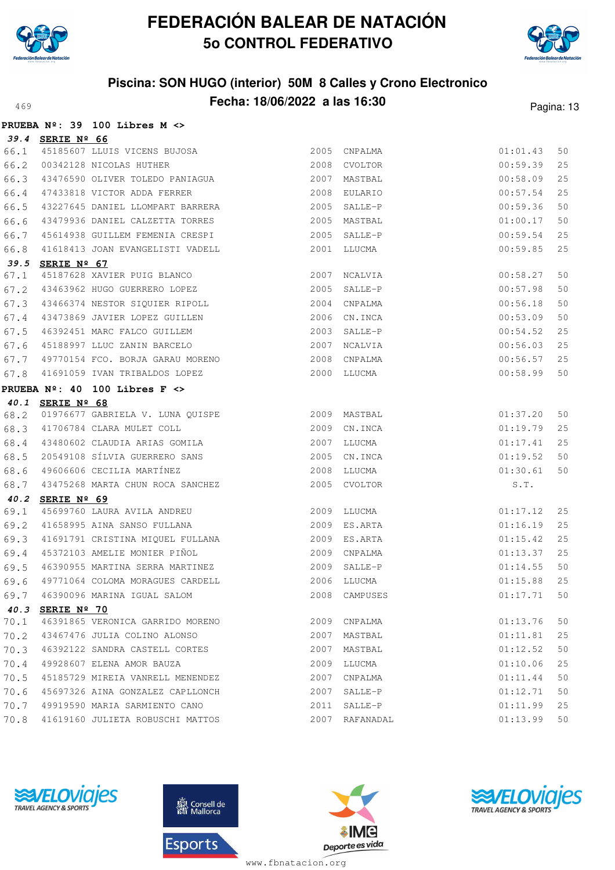



## **Piscina: SON HUGO (interior) 50M 8 Calles y Crono Electronico Fecha: 18/06/2022 a las 16:30** Pagina: 13

|      |                  | PRUEBA $N^{\circ}$ : 39 100 Libres M <>                                  |              |                |          |    |
|------|------------------|--------------------------------------------------------------------------|--------------|----------------|----------|----|
|      | 39.4 SERIE Nº 66 |                                                                          |              |                |          |    |
| 66.1 |                  | 45185607 LLUIS VICENS BUJOSA                                             |              | 2005 CNPALMA   | 01:01.43 | 50 |
| 66.2 |                  | 00342128 NICOLAS HUTHER                                                  |              | 2008 CVOLTOR   | 00:59.39 | 25 |
| 66.3 |                  | 43476590 OLIVER TOLEDO PANIAGUA                                          |              | 2007 MASTBAL   | 00:58.09 | 25 |
| 66.4 |                  | 47433818 VICTOR ADDA FERRER                                              |              | 2008 EULARIO   | 00:57.54 | 25 |
| 66.5 |                  | 43227645 DANIEL LLOMPART BARRERA                                         |              | 2005 SALLE-P   | 00:59.36 | 50 |
| 66.6 |                  | 43479936 DANIEL CALZETTA TORRES                                          |              | 2005 MASTBAL   | 01:00.17 | 50 |
| 66.7 |                  | 45614938 GUILLEM FEMENIA CRESPI 2005 SALLE-P                             |              |                | 00:59.54 | 25 |
| 66.8 |                  | 41618413 JOAN EVANGELISTI VADELL                                         |              | 2001 LLUCMA    | 00:59.85 | 25 |
|      | 39.5 SERIE Nº 67 |                                                                          |              |                |          |    |
| 67.1 |                  | 45187628 XAVIER PUIG BLANCO<br>43463962 HUGO GUERRERO LOPEZ              |              | 2007 NCALVIA   | 00:58.27 | 50 |
| 67.2 |                  |                                                                          |              | 2005 SALLE-P   | 00:57.98 | 50 |
| 67.3 |                  | 43466374 NESTOR SIQUIER RIPOLL                                           |              | 2004 CNPALMA   | 00:56.18 | 50 |
| 67.4 |                  | 43473869 JAVIER LOPEZ GUILLEN                                            |              | 2006 CN.INCA   | 00:53.09 | 50 |
| 67.5 |                  | 46392451 MARC FALCO GUILLEM                                              |              | 2003 SALLE-P   | 00:54.52 | 25 |
| 67.6 |                  | 45188997 LLUC ZANIN BARCELO                                              | 2007 NCALVIA |                | 00:56.03 | 25 |
| 67.7 |                  | 49770154 FCO. BORJA GARAU MORENO 49770154 FCO. BORJA GARAU MORENO        |              |                | 00:56.57 | 25 |
| 67.8 |                  | 41691059 IVAN TRIBALDOS LOPEZ                                            |              | 2000 LLUCMA    | 00:58.99 | 50 |
|      |                  | PRUEBA $N^{\circ}$ : 40 100 Libres F $\leftrightarrow$                   |              |                |          |    |
|      | 40.1 SERIE Nº 68 |                                                                          |              |                |          |    |
| 68.2 |                  |                                                                          |              |                | 01:37.20 | 50 |
| 68.3 |                  |                                                                          | 2009         | CN.INCA        | 01:19.79 | 25 |
| 68.4 |                  | 41706784 CLARA MULET COLL<br>43480602 CLAUDIA ARIAS GOMILA<br>20548186 ( |              | 2007 LLUCMA    | 01:17.41 | 25 |
| 68.5 |                  | 20549108 SÍLVIA GUERRERO SANS                                            |              | 2005 CN.INCA   | 01:19.52 | 50 |
| 68.6 |                  | 49606606 CECILIA MARTÍNEZ                                                | 2008 LLUCMA  |                | 01:30.61 | 50 |
| 68.7 |                  | 43475268 MARTA CHUN ROCA SANCHEZ                                         |              | 2005 CVOLTOR   | S.T.     |    |
| 40.2 | SERIE Nº 69      |                                                                          |              |                |          |    |
| 69.1 |                  | 45699760 LAURA AVILA ANDREU                                              |              | 2009 LLUCMA    | 01:17.12 | 25 |
| 69.2 |                  | 41658995 AINA SANSO FULLANA                                              |              | 2009 ES.ARTA   | 01:16.19 | 25 |
| 69.3 |                  | 41691791 CRISTINA MIQUEL FULLANA                                         |              | 2009 ES.ARTA   | 01:15.42 | 25 |
| 69.4 |                  | 45372103 AMELIE MONIER PIÑOL                                             |              | 2009 CNPALMA   | 01:13.37 | 25 |
| 69.5 |                  | 46390955 MARTINA SERRA MARTINEZ                                          |              | 2009 SALLE-P   | 01:14.55 | 50 |
| 69.6 |                  | 49771064 COLOMA MORAGUES CARDELL                                         |              | 2006 LLUCMA    | 01:15.88 | 25 |
| 69.7 |                  | 46390096 MARINA IGUAL SALOM                                              |              | 2008 CAMPUSES  | 01:17.71 | 50 |
| 40.3 | SERIE Nº 70      |                                                                          |              |                |          |    |
| 70.1 |                  | 46391865 VERONICA GARRIDO MORENO                                         |              | 2009 CNPALMA   | 01:13.76 | 50 |
| 70.2 |                  | 43467476 JULIA COLINO ALONSO                                             |              | 2007 MASTBAL   | 01:11.81 | 25 |
| 70.3 |                  | 46392122 SANDRA CASTELL CORTES                                           |              | 2007 MASTBAL   | 01:12.52 | 50 |
| 70.4 |                  | 49928607 ELENA AMOR BAUZA                                                | 2009         | LLUCMA         | 01:10.06 | 25 |
| 70.5 |                  | 45185729 MIREIA VANRELL MENENDEZ                                         | 2007         | CNPALMA        | 01:11.44 | 50 |
| 70.6 |                  | 45697326 AINA GONZALEZ CAPLLONCH                                         | 2007         | SALLE-P        | 01:12.71 | 50 |
| 70.7 |                  | 49919590 MARIA SARMIENTO CANO                                            | 2011         | SALLE-P        | 01:11.99 | 25 |
| 70.8 |                  | 41619160 JULIETA ROBUSCHI MATTOS                                         |              | 2007 RAFANADAL | 01:13.99 | 50 |
|      |                  |                                                                          |              |                |          |    |